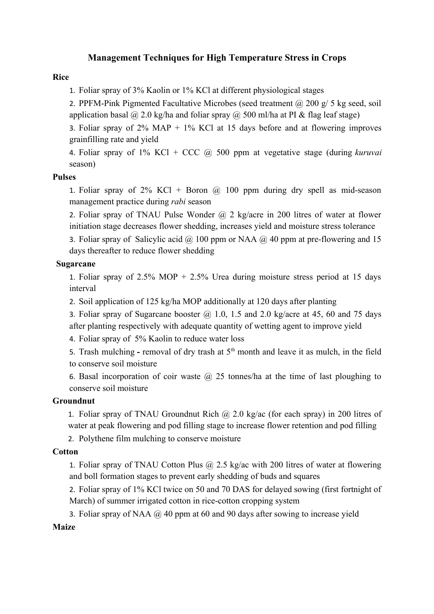# **Management Techniques for High Temperature Stress in Crops**

## **Rice**

1. Foliar spray of 3% Kaolin or 1% KCl at different physiological stages

2. PPFM-Pink Pigmented Facultative Microbes (seed treatment  $\omega$  200 g/ 5 kg seed, soil application basal  $\omega$  2.0 kg/ha and foliar spray  $\omega$  500 ml/ha at PI & flag leaf stage)

3. Foliar spray of  $2\%$  MAP +  $1\%$  KCl at 15 days before and at flowering improves grainfilling rate and yield

4. Foliar spray of 1% KCl + CCC @ 500 ppm at vegetative stage (during *kuruvai* season)

## **Pulses**

1. Foliar spray of  $2\%$  KCl + Boron  $\omega$  100 ppm during dry spell as mid-season management practice during *rabi* season

2. Foliar spray of TNAU Pulse Wonder  $(a)$  2 kg/acre in 200 litres of water at flower initiation stage decreases flower shedding, increases yield and moisture stress tolerance

3. Foliar spray of Salicylic acid  $\omega$  100 ppm or NAA  $\omega$  40 ppm at pre-flowering and 15 days thereafter to reduce flower shedding

## **Sugarcane**

1. Foliar spray of  $2.5\%$  MOP +  $2.5\%$  Urea during moisture stress period at 15 days interval

2. Soil application of 125 kg/ha MOP additionally at 120 days after planting

3. Foliar spray of Sugarcane booster  $(a)$  1.0, 1.5 and 2.0 kg/acre at 45, 60 and 75 days after planting respectively with adequate quantity of wetting agent to improve yield

4. Foliar spray of 5% Kaolin to reduce water loss

5. Trash mulching  $\text{-}$  removal of dry trash at  $5^{\text{th}}$  month and leave it as mulch, in the field to conserve soil moisture

6. Basal incorporation of coir waste  $\omega$  25 tonnes/ha at the time of last ploughing to conserve soil moisture

#### **Groundnut**

1. Foliar spray of TNAU Groundnut Rich  $\omega$  2.0 kg/ac (for each spray) in 200 litres of water at peak flowering and pod filling stage to increase flower retention and pod filling

2. Polythene film mulching to conserve moisture

## **Cotton**

1. Foliar spray of TNAU Cotton Plus  $(a)$  2.5 kg/ac with 200 litres of water at flowering and boll formation stages to prevent early shedding of buds and squares

2. Foliar spray of 1% KCl twice on 50 and 70 DAS for delayed sowing (first fortnight of March) of summer irrigated cotton in rice-cotton cropping system

3. Foliar spray of NAA  $\omega$  40 ppm at 60 and 90 days after sowing to increase yield

#### **Maize**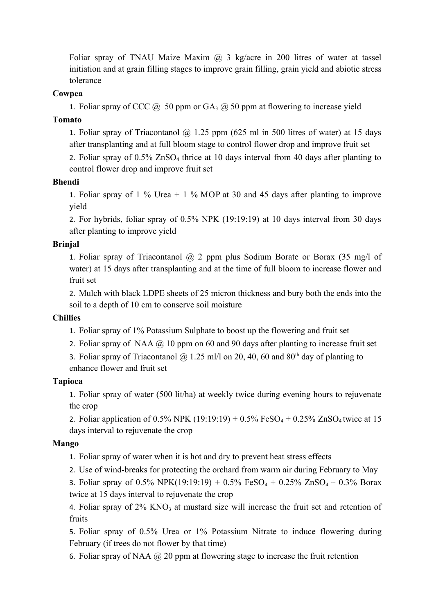Foliar spray of TNAU Maize Maxim  $(a)$ , 3 kg/acre in 200 litres of water at tassel initiation and at grain filling stages to improve grain filling, grain yield and abiotic stress tolerance

## **Cowpea**

1. Foliar spray of CCC  $\omega$  50 ppm or GA<sub>3</sub>  $\omega$  50 ppm at flowering to increase yield

## **Tomato**

1. Foliar spray of Triacontanol  $\omega$  1.25 ppm (625 ml in 500 litres of water) at 15 days after transplanting and at full bloom stage to control flower drop and improve fruit set

2. Foliar spray of  $0.5\%$  ZnSO<sub>4</sub> thrice at 10 days interval from 40 days after planting to control flower drop and improve fruit set

## **Bhendi**

1. Foliar spray of 1 % Urea + 1 % MOP at 30 and 45 days after planting to improve yield

2. For hybrids, foliar spray of 0.5% NPK (19:19:19) at 10 days interval from 30 days after planting to improve yield

## **Brinjal**

1. Foliar spray of Triacontanol  $(a)$  2 ppm plus Sodium Borate or Borax (35 mg/l of water) at 15 days after transplanting and at the time of full bloom to increase flower and fruit set

2. Mulch with black LDPE sheets of 25 micron thickness and bury both the ends into the soil to a depth of 10 cm to conserve soil moisture

# **Chillies**

1. Foliar spray of 1% Potassium Sulphate to boost up the flowering and fruit set

- 2. Foliar spray of NAA  $\omega$  10 ppm on 60 and 90 days after planting to increase fruit set
- 3. Foliar spray of Triacontanol @ 1.25 ml/l on 20, 40, 60 and 80<sup>th</sup> day of planting to enhance flower and fruit set

# **Tapioca**

1. Foliar spray of water (500 lit/ha) at weekly twice during evening hours to rejuvenate the crop

2. Foliar application of 0.5% NPK (19:19:19) + 0.5% FeSO<sub>4</sub> + 0.25% ZnSO<sub>4</sub> twice at 15 days interval to rejuvenate the crop

#### **Mango**

- 1. Foliar spray of water when it is hot and dry to prevent heat stress effects
- 2. Use of wind-breaks for protecting the orchard from warm air during February to May

3. Foliar spray of 0.5% NPK(19:19:19) + 0.5% FeSO<sub>4</sub> + 0.25% ZnSO<sub>4</sub> + 0.3% Borax twice at 15 days interval to rejuvenate the crop

4. Foliar spray of  $2\%$  KNO<sub>3</sub> at mustard size will increase the fruit set and retention of fruits

5. Foliar spray of 0.5% Urea or 1% Potassium Nitrate to induce flowering during February (if trees do not flower by that time)

6. Foliar spray of NAA  $\omega$  20 ppm at flowering stage to increase the fruit retention